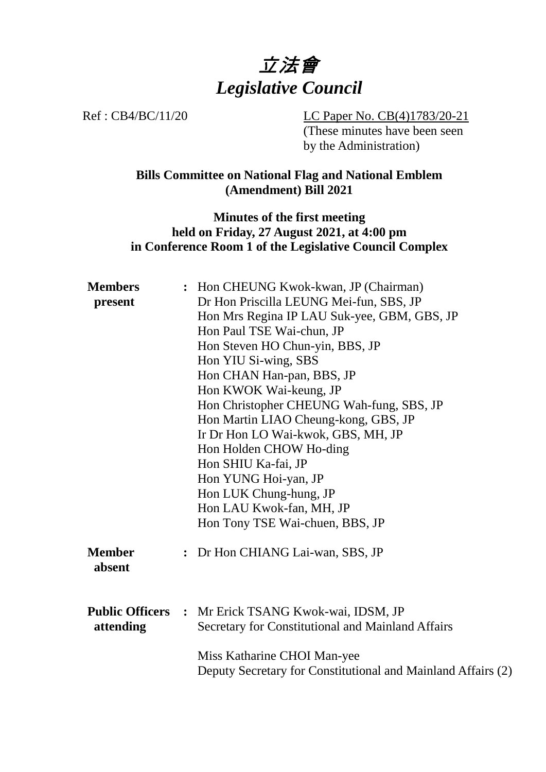

Ref : CB4/BC/11/20 LC Paper No. CB(4)1783/20-21 (These minutes have been seen by the Administration)

> **Bills Committee on National Flag and National Emblem (Amendment) Bill 2021**

#### **Minutes of the first meeting held on Friday, 27 August 2021, at 4:00 pm in Conference Room 1 of the Legislative Council Complex**

| <b>Members</b>          |  | : Hon CHEUNG Kwok-kwan, JP (Chairman)                                                                    |
|-------------------------|--|----------------------------------------------------------------------------------------------------------|
| present                 |  | Dr Hon Priscilla LEUNG Mei-fun, SBS, JP                                                                  |
|                         |  | Hon Mrs Regina IP LAU Suk-yee, GBM, GBS, JP                                                              |
|                         |  | Hon Paul TSE Wai-chun, JP                                                                                |
|                         |  | Hon Steven HO Chun-yin, BBS, JP                                                                          |
|                         |  | Hon YIU Si-wing, SBS                                                                                     |
|                         |  | Hon CHAN Han-pan, BBS, JP                                                                                |
|                         |  | Hon KWOK Wai-keung, JP                                                                                   |
|                         |  | Hon Christopher CHEUNG Wah-fung, SBS, JP                                                                 |
|                         |  | Hon Martin LIAO Cheung-kong, GBS, JP                                                                     |
|                         |  | Ir Dr Hon LO Wai-kwok, GBS, MH, JP                                                                       |
|                         |  | Hon Holden CHOW Ho-ding                                                                                  |
|                         |  | Hon SHIU Ka-fai, JP                                                                                      |
|                         |  | Hon YUNG Hoi-yan, JP                                                                                     |
|                         |  | Hon LUK Chung-hung, JP                                                                                   |
|                         |  | Hon LAU Kwok-fan, MH, JP                                                                                 |
|                         |  | Hon Tony TSE Wai-chuen, BBS, JP                                                                          |
| <b>Member</b><br>absent |  | : Dr Hon CHIANG Lai-wan, SBS, JP                                                                         |
| attending               |  | Public Officers : Mr Erick TSANG Kwok-wai, IDSM, JP<br>Secretary for Constitutional and Mainland Affairs |
|                         |  | Miss Katharine CHOI Man-yee<br>Deputy Secretary for Constitutional and Mainland Affairs (2)              |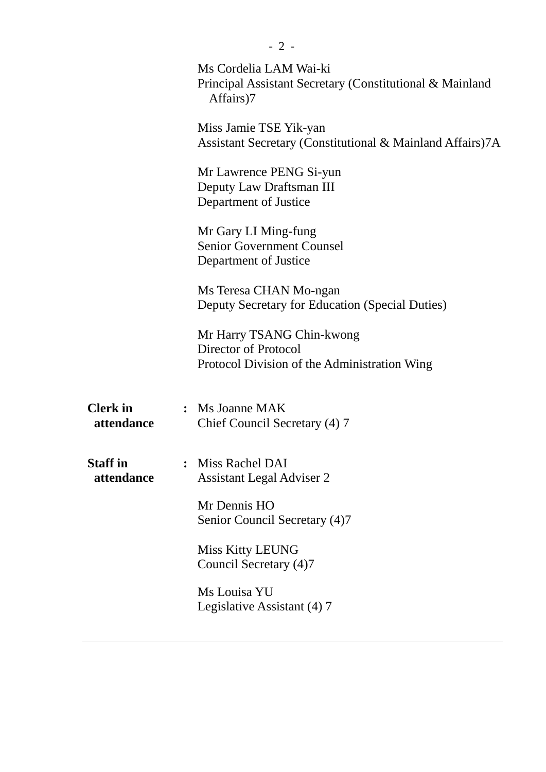|                               | Ms Cordelia LAM Wai-ki<br>Principal Assistant Secretary (Constitutional & Mainland<br>Affairs)7          |
|-------------------------------|----------------------------------------------------------------------------------------------------------|
|                               | Miss Jamie TSE Yik-yan<br>Assistant Secretary (Constitutional & Mainland Affairs)7A                      |
|                               | Mr Lawrence PENG Si-yun<br>Deputy Law Draftsman III<br>Department of Justice                             |
|                               | Mr Gary LI Ming-fung<br><b>Senior Government Counsel</b><br>Department of Justice                        |
|                               | Ms Teresa CHAN Mo-ngan<br>Deputy Secretary for Education (Special Duties)                                |
|                               | Mr Harry TSANG Chin-kwong<br><b>Director of Protocol</b><br>Protocol Division of the Administration Wing |
| <b>Clerk</b> in<br>attendance | : Ms Joanne MAK<br>Chief Council Secretary (4) 7                                                         |
| <b>Staff</b> in<br>attendance | Miss Rachel DAI<br><b>Assistant Legal Adviser 2</b>                                                      |
|                               | Mr Dennis HO<br>Senior Council Secretary (4)7                                                            |
|                               | <b>Miss Kitty LEUNG</b><br>Council Secretary (4)7                                                        |
|                               | Ms Louisa YU<br>Legislative Assistant (4) 7                                                              |
|                               |                                                                                                          |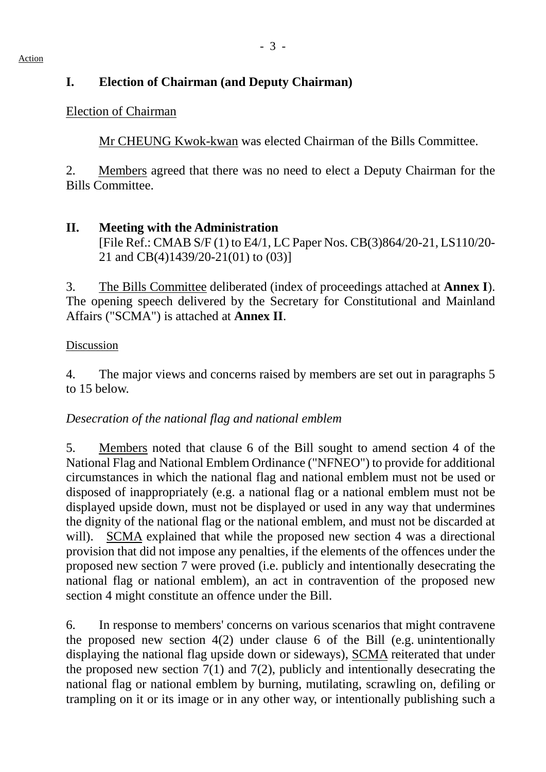## **I. Election of Chairman (and Deputy Chairman)**

# Election of Chairman

1. Mr CHEUNG Kwok-kwan was elected Chairman of the Bills Committee.

2. Members agreed that there was no need to elect a Deputy Chairman for the Bills Committee.

## **II. Meeting with the Administration** [File Ref.: CMAB S/F (1) to E4/1, LC Paper Nos. CB(3)864/20-21, LS110/20- 21 and CB(4)1439/20-21(01) to (03)]

3. The Bills Committee deliberated (index of proceedings attached at **Annex I**). The opening speech delivered by the Secretary for Constitutional and Mainland Affairs ("SCMA") is attached at **Annex II**.

### Discussion

4. The major views and concerns raised by members are set out in paragraphs 5 to 15 below.

# *Desecration of the national flag and national emblem*

5. Members noted that clause 6 of the Bill sought to amend section 4 of the National Flag and National Emblem Ordinance ("NFNEO") to provide for additional circumstances in which the national flag and national emblem must not be used or disposed of inappropriately (e.g. a national flag or a national emblem must not be displayed upside down, must not be displayed or used in any way that undermines the dignity of the national flag or the national emblem, and must not be discarded at will). SCMA explained that while the proposed new section 4 was a directional provision that did not impose any penalties, if the elements of the offences under the proposed new section 7 were proved (i.e. publicly and intentionally desecrating the national flag or national emblem), an act in contravention of the proposed new section 4 might constitute an offence under the Bill.

6. In response to members' concerns on various scenarios that might contravene the proposed new section 4(2) under clause 6 of the Bill (e.g. unintentionally displaying the national flag upside down or sideways), SCMA reiterated that under the proposed new section  $7(1)$  and  $7(2)$ , publicly and intentionally desecrating the national flag or national emblem by burning, mutilating, scrawling on, defiling or trampling on it or its image or in any other way, or intentionally publishing such a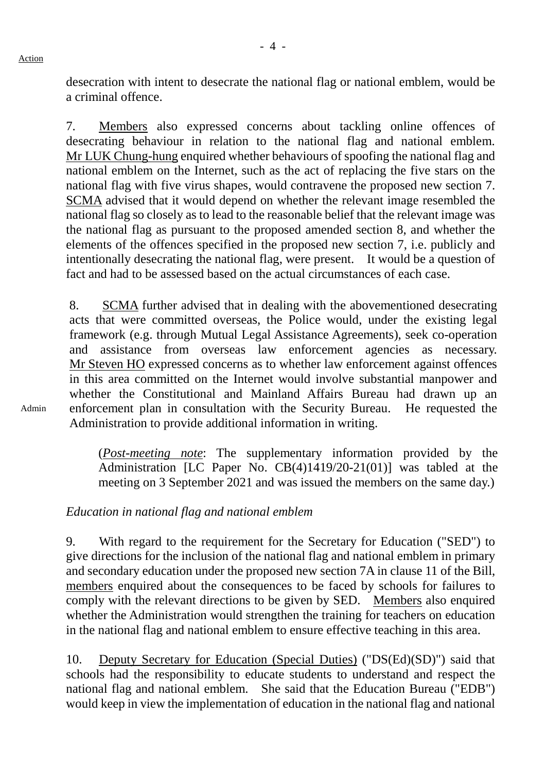Action

desecration with intent to desecrate the national flag or national emblem, would be a criminal offence.

7. Members also expressed concerns about tackling online offences of desecrating behaviour in relation to the national flag and national emblem. Mr LUK Chung-hung enquired whether behaviours of spoofing the national flag and national emblem on the Internet, such as the act of replacing the five stars on the national flag with five virus shapes, would contravene the proposed new section 7. SCMA advised that it would depend on whether the relevant image resembled the national flag so closely as to lead to the reasonable belief that the relevant image was the national flag as pursuant to the proposed amended section 8, and whether the elements of the offences specified in the proposed new section 7, i.e. publicly and intentionally desecrating the national flag, were present. It would be a question of fact and had to be assessed based on the actual circumstances of each case.

8. SCMA further advised that in dealing with the abovementioned desecrating acts that were committed overseas, the Police would, under the existing legal framework (e.g. through Mutual Legal Assistance Agreements), seek co-operation and assistance from overseas law enforcement agencies as necessary. Mr Steven HO expressed concerns as to whether law enforcement against offences in this area committed on the Internet would involve substantial manpower and whether the Constitutional and Mainland Affairs Bureau had drawn up an enforcement plan in consultation with the Security Bureau. He requested the Administration to provide additional information in writing.

(*Post-meeting note*: The supplementary information provided by the Administration [LC Paper No. CB(4)1419/20-21(01)] was tabled at the meeting on 3 September 2021 and was issued the members on the same day.)

### *Education in national flag and national emblem*

9. With regard to the requirement for the Secretary for Education ("SED") to give directions for the inclusion of the national flag and national emblem in primary and secondary education under the proposed new section 7A in clause 11 of the Bill, members enquired about the consequences to be faced by schools for failures to comply with the relevant directions to be given by SED. Members also enquired whether the Administration would strengthen the training for teachers on education in the national flag and national emblem to ensure effective teaching in this area.

10. Deputy Secretary for Education (Special Duties) ("DS(Ed)(SD)") said that schools had the responsibility to educate students to understand and respect the national flag and national emblem. She said that the Education Bureau ("EDB") would keep in view the implementation of education in the national flag and national

Admin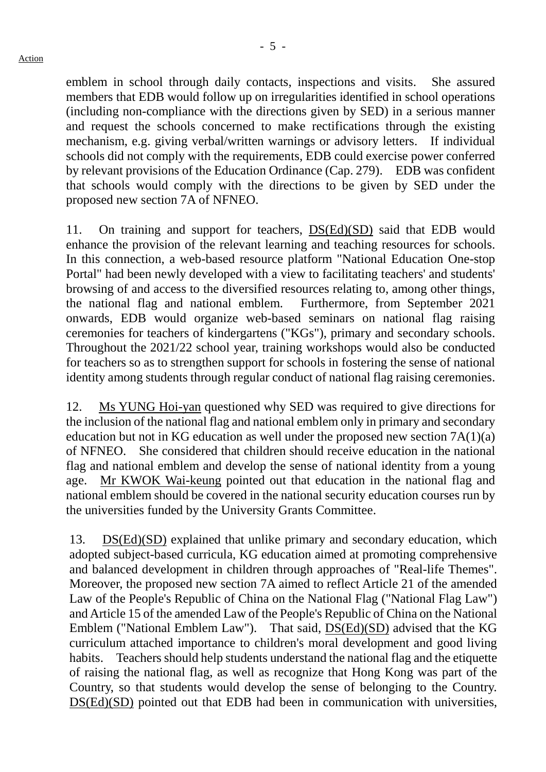emblem in school through daily contacts, inspections and visits. She assured members that EDB would follow up on irregularities identified in school operations (including non-compliance with the directions given by SED) in a serious manner and request the schools concerned to make rectifications through the existing mechanism, e.g. giving verbal/written warnings or advisory letters. If individual schools did not comply with the requirements, EDB could exercise power conferred by relevant provisions of the Education Ordinance (Cap. 279). EDB was confident that schools would comply with the directions to be given by SED under the proposed new section 7A of NFNEO.

11. On training and support for teachers, DS(Ed)(SD) said that EDB would enhance the provision of the relevant learning and teaching resources for schools. In this connection, a web-based resource platform "National Education One-stop Portal" had been newly developed with a view to facilitating teachers' and students' browsing of and access to the diversified resources relating to, among other things, the national flag and national emblem. Furthermore, from September 2021 onwards, EDB would organize web-based seminars on national flag raising ceremonies for teachers of kindergartens ("KGs"), primary and secondary schools. Throughout the 2021/22 school year, training workshops would also be conducted for teachers so as to strengthen support for schools in fostering the sense of national identity among students through regular conduct of national flag raising ceremonies.

12. Ms YUNG Hoi-yan questioned why SED was required to give directions for the inclusion of the national flag and national emblem only in primary and secondary education but not in KG education as well under the proposed new section 7A(1)(a) of NFNEO. She considered that children should receive education in the national flag and national emblem and develop the sense of national identity from a young age. Mr KWOK Wai-keung pointed out that education in the national flag and national emblem should be covered in the national security education courses run by the universities funded by the University Grants Committee.

13. DS(Ed)(SD) explained that unlike primary and secondary education, which adopted subject-based curricula, KG education aimed at promoting comprehensive and balanced development in children through approaches of "Real-life Themes". Moreover, the proposed new section 7A aimed to reflect Article 21 of the amended Law of the People's Republic of China on the National Flag ("National Flag Law") and Article 15 of the amended Law of the People's Republic of China on the National Emblem ("National Emblem Law"). That said, DS(Ed)(SD) advised that the KG curriculum attached importance to children's moral development and good living habits. Teachers should help students understand the national flag and the etiquette of raising the national flag, as well as recognize that Hong Kong was part of the Country, so that students would develop the sense of belonging to the Country. DS(Ed)(SD) pointed out that EDB had been in communication with universities,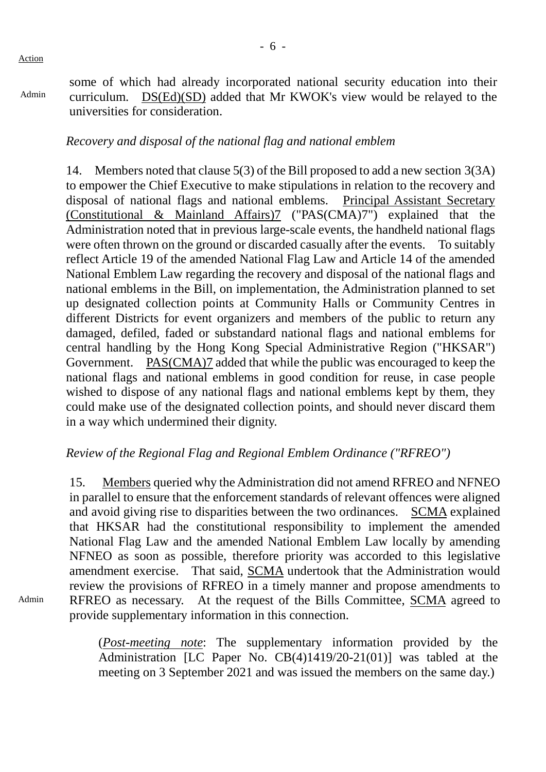Action

Admin

Admin

some of which had already incorporated national security education into their curriculum. DS(Ed)(SD) added that Mr KWOK's view would be relayed to the universities for consideration.

#### *Recovery and disposal of the national flag and national emblem*

14. Members noted that clause 5(3) of the Bill proposed to add a new section 3(3A) to empower the Chief Executive to make stipulations in relation to the recovery and disposal of national flags and national emblems. Principal Assistant Secretary (Constitutional & Mainland Affairs)7 ("PAS(CMA)7") explained that the Administration noted that in previous large-scale events, the handheld national flags were often thrown on the ground or discarded casually after the events. To suitably reflect Article 19 of the amended National Flag Law and Article 14 of the amended National Emblem Law regarding the recovery and disposal of the national flags and national emblems in the Bill, on implementation, the Administration planned to set up designated collection points at Community Halls or Community Centres in different Districts for event organizers and members of the public to return any damaged, defiled, faded or substandard national flags and national emblems for central handling by the Hong Kong Special Administrative Region ("HKSAR") Government. PAS(CMA)7 added that while the public was encouraged to keep the national flags and national emblems in good condition for reuse, in case people wished to dispose of any national flags and national emblems kept by them, they could make use of the designated collection points, and should never discard them in a way which undermined their dignity.

### *Review of the Regional Flag and Regional Emblem Ordinance ("RFREO")*

15. Members queried why the Administration did not amend RFREO and NFNEO in parallel to ensure that the enforcement standards of relevant offences were aligned and avoid giving rise to disparities between the two ordinances. SCMA explained that HKSAR had the constitutional responsibility to implement the amended National Flag Law and the amended National Emblem Law locally by amending NFNEO as soon as possible, therefore priority was accorded to this legislative amendment exercise. That said, SCMA undertook that the Administration would review the provisions of RFREO in a timely manner and propose amendments to RFREO as necessary. At the request of the Bills Committee, SCMA agreed to provide supplementary information in this connection.

(*Post-meeting note*: The supplementary information provided by the Administration [LC Paper No. CB(4)1419/20-21(01)] was tabled at the meeting on 3 September 2021 and was issued the members on the same day.)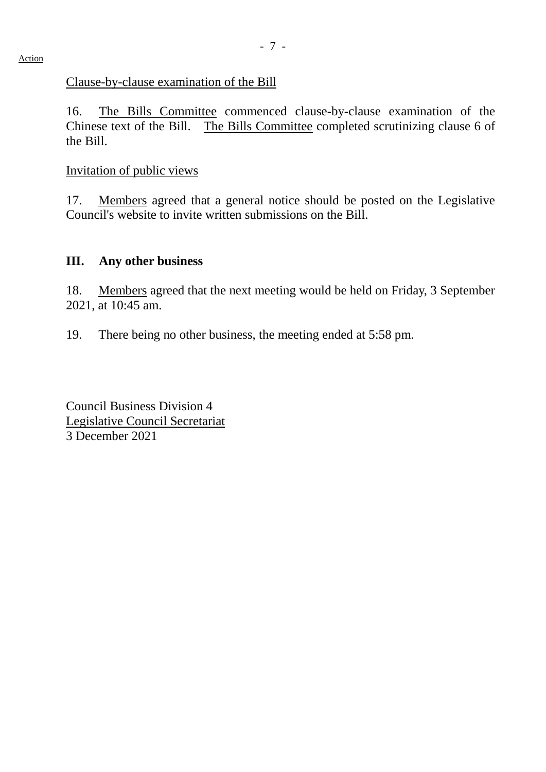#### Clause-by-clause examination of the Bill

16. The Bills Committee commenced clause-by-clause examination of the Chinese text of the Bill. The Bills Committee completed scrutinizing clause 6 of the Bill.

#### Invitation of public views

17. Members agreed that a general notice should be posted on the Legislative Council's website to invite written submissions on the Bill.

#### **III. Any other business**

18. Members agreed that the next meeting would be held on Friday, 3 September 2021, at 10:45 am.

19. There being no other business, the meeting ended at 5:58 pm.

Council Business Division 4 Legislative Council Secretariat 3 December 2021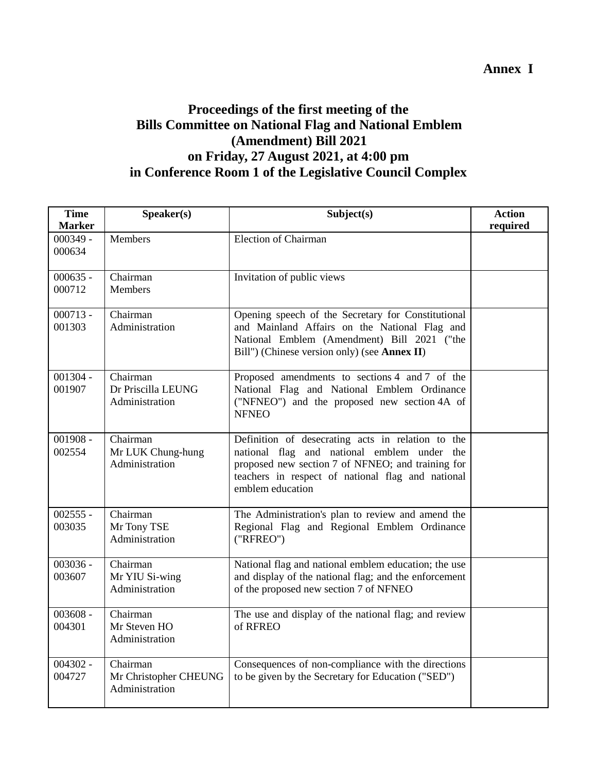### **Annex I**

### **Proceedings of the first meeting of the Bills Committee on National Flag and National Emblem (Amendment) Bill 2021 on Friday, 27 August 2021, at 4:00 pm in Conference Room 1 of the Legislative Council Complex**

| <b>Time</b><br><b>Marker</b> | Speaker(s)                                          | Subject(s)                                                                                                                                                                                                                     | <b>Action</b><br>required |
|------------------------------|-----------------------------------------------------|--------------------------------------------------------------------------------------------------------------------------------------------------------------------------------------------------------------------------------|---------------------------|
| $000349 -$<br>000634         | <b>Members</b>                                      | <b>Election of Chairman</b>                                                                                                                                                                                                    |                           |
| $000635 -$<br>000712         | Chairman<br><b>Members</b>                          | Invitation of public views                                                                                                                                                                                                     |                           |
| $000713 -$<br>001303         | Chairman<br>Administration                          | Opening speech of the Secretary for Constitutional<br>and Mainland Affairs on the National Flag and<br>National Emblem (Amendment) Bill 2021 ("the<br>Bill") (Chinese version only) (see Annex II)                             |                           |
| $001304 -$<br>001907         | Chairman<br>Dr Priscilla LEUNG<br>Administration    | Proposed amendments to sections 4 and 7 of the<br>National Flag and National Emblem Ordinance<br>("NFNEO") and the proposed new section 4A of<br><b>NFNEO</b>                                                                  |                           |
| $001908 -$<br>002554         | Chairman<br>Mr LUK Chung-hung<br>Administration     | Definition of desecrating acts in relation to the<br>national flag and national emblem under the<br>proposed new section 7 of NFNEO; and training for<br>teachers in respect of national flag and national<br>emblem education |                           |
| $002555 -$<br>003035         | Chairman<br>Mr Tony TSE<br>Administration           | The Administration's plan to review and amend the<br>Regional Flag and Regional Emblem Ordinance<br>("RFREO")                                                                                                                  |                           |
| $003036 -$<br>003607         | Chairman<br>Mr YIU Si-wing<br>Administration        | National flag and national emblem education; the use<br>and display of the national flag; and the enforcement<br>of the proposed new section 7 of NFNEO                                                                        |                           |
| $003608 -$<br>004301         | Chairman<br>Mr Steven HO<br>Administration          | The use and display of the national flag; and review<br>of RFREO                                                                                                                                                               |                           |
| $004302 -$<br>004727         | Chairman<br>Mr Christopher CHEUNG<br>Administration | Consequences of non-compliance with the directions<br>to be given by the Secretary for Education ("SED")                                                                                                                       |                           |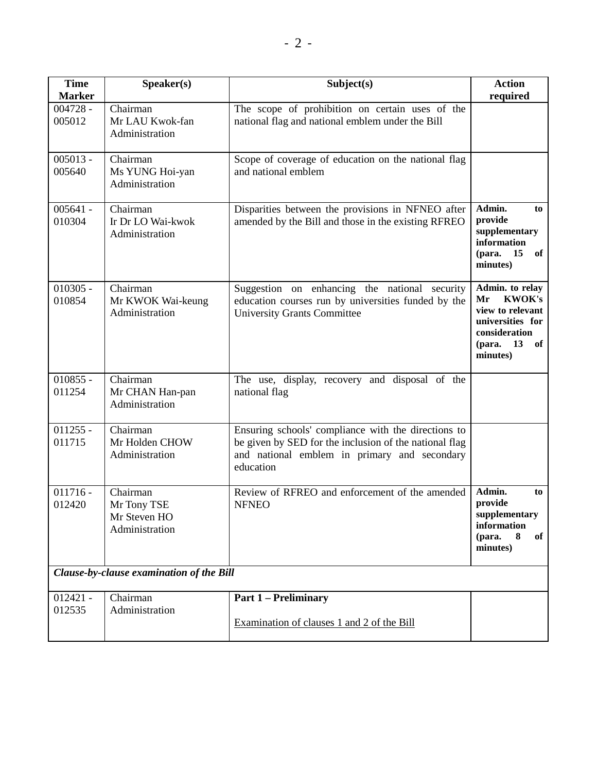| <b>Time</b><br><b>Marker</b>             | Speaker(s)                                                | Subject(s)                                                                                                                                                                 | <b>Action</b><br>required                                                                                                         |  |  |  |
|------------------------------------------|-----------------------------------------------------------|----------------------------------------------------------------------------------------------------------------------------------------------------------------------------|-----------------------------------------------------------------------------------------------------------------------------------|--|--|--|
| $004728 -$<br>005012                     | Chairman<br>Mr LAU Kwok-fan<br>Administration             | The scope of prohibition on certain uses of the<br>national flag and national emblem under the Bill                                                                        |                                                                                                                                   |  |  |  |
| $005013 -$<br>005640                     | Chairman<br>Ms YUNG Hoi-yan<br>Administration             | Scope of coverage of education on the national flag<br>and national emblem                                                                                                 |                                                                                                                                   |  |  |  |
| $005641 -$<br>010304                     | Chairman<br>Ir Dr LO Wai-kwok<br>Administration           | Disparities between the provisions in NFNEO after<br>amended by the Bill and those in the existing RFREO                                                                   | Admin.<br>to<br>provide<br>supplementary<br>information<br>15<br>of<br>(para.<br>minutes)                                         |  |  |  |
| $010305 -$<br>010854                     | Chairman<br>Mr KWOK Wai-keung<br>Administration           | Suggestion on enhancing the national security<br>education courses run by universities funded by the<br><b>University Grants Committee</b>                                 | Admin. to relay<br><b>KWOK's</b><br>Mr<br>view to relevant<br>universities for<br>consideration<br>(para.<br>13<br>of<br>minutes) |  |  |  |
| $010855 -$<br>011254                     | Chairman<br>Mr CHAN Han-pan<br>Administration             | The use, display, recovery and disposal of the<br>national flag                                                                                                            |                                                                                                                                   |  |  |  |
| $011255 -$<br>011715                     | Chairman<br>Mr Holden CHOW<br>Administration              | Ensuring schools' compliance with the directions to<br>be given by SED for the inclusion of the national flag<br>and national emblem in primary and secondary<br>education |                                                                                                                                   |  |  |  |
| $011716 -$<br>012420                     | Chairman<br>Mr Tony TSE<br>Mr Steven HO<br>Administration | Review of RFREO and enforcement of the amended<br><b>NFNEO</b>                                                                                                             | Admin.<br>to<br>provide<br>supplementary<br>information<br>(para.<br>8<br>of<br>minutes)                                          |  |  |  |
| Clause-by-clause examination of the Bill |                                                           |                                                                                                                                                                            |                                                                                                                                   |  |  |  |
| $012421 -$<br>012535                     | Chairman<br>Administration                                | <b>Part 1 – Preliminary</b><br>Examination of clauses 1 and 2 of the Bill                                                                                                  |                                                                                                                                   |  |  |  |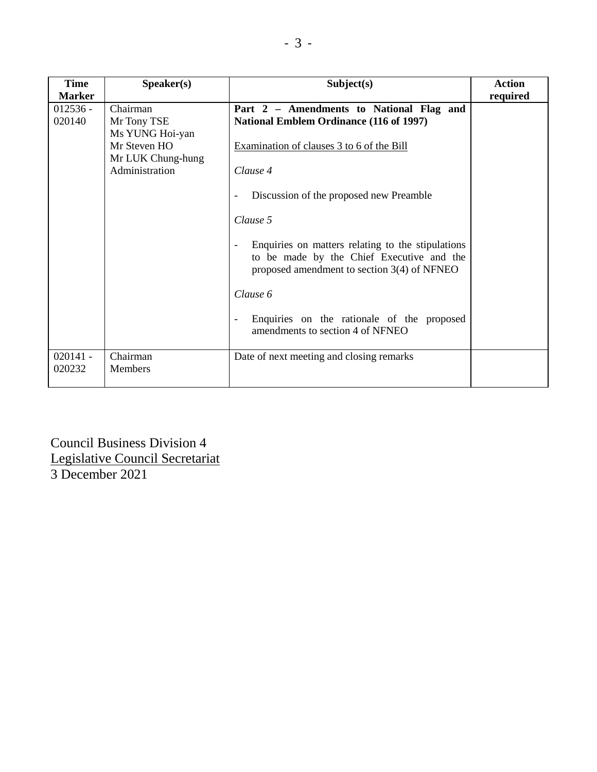| <b>Time</b><br><b>Marker</b> | Speaker(s)                                                                                        | Subject(s)                                                                                                                                                                                                                                                                                                                                                                                                                                                | <b>Action</b> |
|------------------------------|---------------------------------------------------------------------------------------------------|-----------------------------------------------------------------------------------------------------------------------------------------------------------------------------------------------------------------------------------------------------------------------------------------------------------------------------------------------------------------------------------------------------------------------------------------------------------|---------------|
| $012536 -$<br>020140         | Chairman<br>Mr Tony TSE<br>Ms YUNG Hoi-yan<br>Mr Steven HO<br>Mr LUK Chung-hung<br>Administration | Part 2 - Amendments to National Flag and<br><b>National Emblem Ordinance (116 of 1997)</b><br>Examination of clauses 3 to 6 of the Bill<br>Clause 4<br>Discussion of the proposed new Preamble<br>Clause 5<br>Enquiries on matters relating to the stipulations<br>to be made by the Chief Executive and the<br>proposed amendment to section 3(4) of NFNEO<br>Clause 6<br>Enquiries on the rationale of the proposed<br>amendments to section 4 of NFNEO | required      |
| $020141 -$<br>020232         | Chairman<br><b>Members</b>                                                                        | Date of next meeting and closing remarks                                                                                                                                                                                                                                                                                                                                                                                                                  |               |

Council Business Division 4 Legislative Council Secretariat 3 December 2021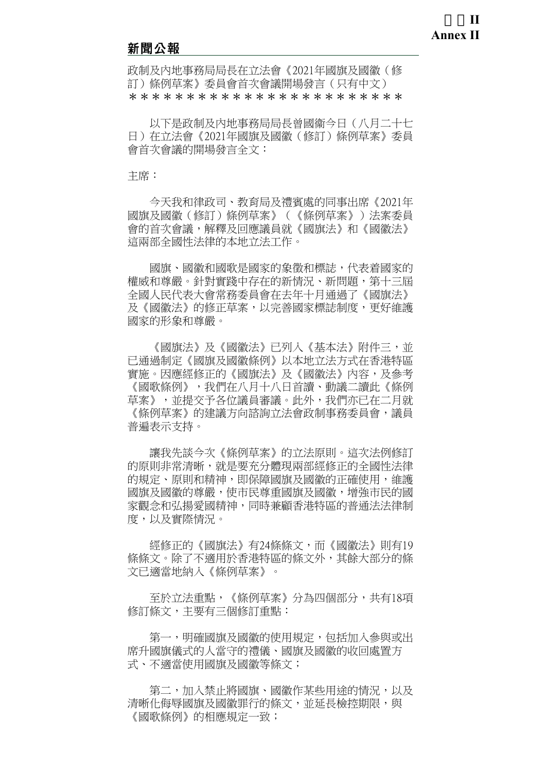#### 新聞公報

政制及內地事務局局長在立法會《2021年國旗及國徽(修 訂)條例草案》委員會首次會議開場發言(只有中文) \*\*\*\*\*\*\*\*\*\*\*\*\*\*\*\*\*\*\*\*\*\*\*\*

 以下是政制及內地事務局局長曾國衞今日(八月二十七 日)在立法會《2021年國旗及國徽(修訂)條例草案》委員 會首次會議的開場發言全文:

主席:

 今天我和律政司、教育局及禮賓處的同事出席《2021年 國旗及國徽(修訂)條例草案》(《條例草案》)法案委員 會的首次會議,解釋及回應議員就《國旗法》和《國徽法》 這兩部全國性法律的本地立法工作。

 國旗、國徽和國歌是國家的象徵和標誌,代表着國家的 權威和尊嚴。針對實踐中存在的新情況、新問題,第十三屆 全國人民代表大會常務委員會在去年十月通過了《國旗法》 及《國徽法》的修正草案,以完善國家標誌制度,更好維護 國家的形象和尊嚴。

《國旗法》及《國徽法》已列入《基本法》附件三,並 已通過制定《國旗及國徽條例》以本地立法方式在香港特區 實施。因應經修正的《國旗法》及《國徽法》內容,及參考 《國歌條例》,我們在八月十八日首讀、動議二讀此《條例 草案》,並提交予各位議員審議。此外,我們亦已在二月就 《條例草案》的建議方向諮詢立法會政制事務委員會,議員 普遍表示支持。

 讓我先談今次《條例草案》的立法原則。這次法例修訂 的原則非常清晰,就是要充分體現兩部經修正的全國性法律 的規定、原則和精神,即保障國旗及國徽的正確使用,維護 國旗及國徽的尊嚴,使市民尊重國旗及國徽,增強市民的國 家觀念和弘揚愛國精神,同時兼顧香港特區的普通法法律制 度,以及實際情況。

 經修正的《國旗法》有24條條文,而《國徽法》則有19 條條文。除了不適用於香港特區的條文外,其餘大部分的條 文已適當地納入《條例草案》。

 至於立法重點,《條例草案》分為四個部分,共有18項 修訂條文,主要有三個修訂重點:

第一,明確國旗及國徽的使用規定,包括加入參與或出 席升國旗儀式的人當守的禮儀、國旗及國徽的收回處置方 式、不適當使用國旗及國徽等條文;

第二,加入禁止將國旗、國徽作某些用涂的情況,以及 清晰化侮辱國旗及國徽罪行的條文,並延長檢控期限,與 《國歌條例》的相應規定一致;